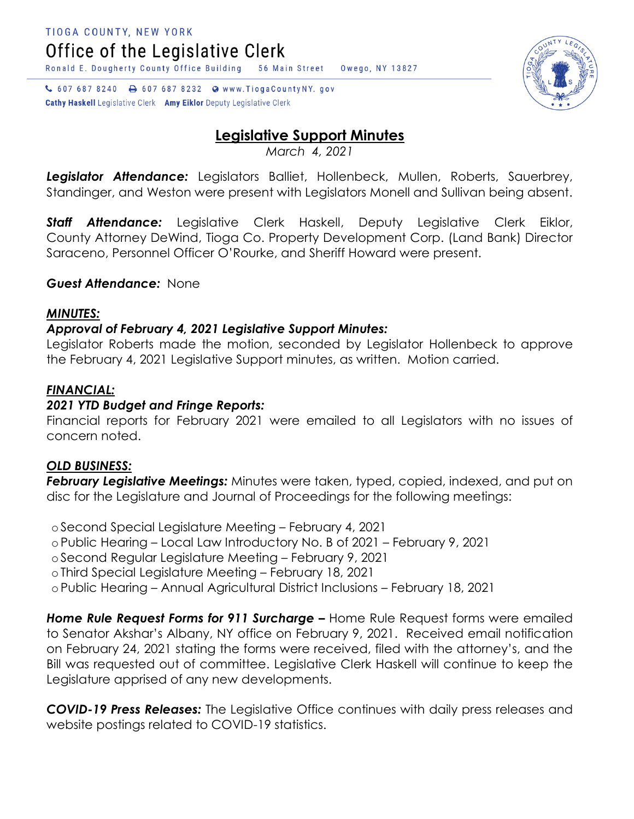↓ 607 687 8240 → 607 687 8232 ● www.TiogaCountyNY.gov **Cathy Haskell** Legislative Clerk Amy Eiklor Deputy Legislative Clerk

# **Legislative Support Minutes**

*March 4, 2021*

*Legislator Attendance:* Legislators Balliet, Hollenbeck, Mullen, Roberts, Sauerbrey, Standinger, and Weston were present with Legislators Monell and Sullivan being absent.

*Staff Attendance:* Legislative Clerk Haskell, Deputy Legislative Clerk Eiklor, County Attorney DeWind, Tioga Co. Property Development Corp. (Land Bank) Director Saraceno, Personnel Officer O'Rourke, and Sheriff Howard were present.

### *Guest Attendance:* None

#### *MINUTES:*

### *Approval of February 4, 2021 Legislative Support Minutes:*

Legislator Roberts made the motion, seconded by Legislator Hollenbeck to approve the February 4, 2021 Legislative Support minutes, as written. Motion carried.

### *FINANCIAL:*

## *2021 YTD Budget and Fringe Reports:*

Financial reports for February 2021 were emailed to all Legislators with no issues of concern noted.

#### *OLD BUSINESS:*

*February Legislative Meetings:* Minutes were taken, typed, copied, indexed, and put on disc for the Legislature and Journal of Proceedings for the following meetings:

o Second Special Legislature Meeting – February 4, 2021

o Public Hearing – Local Law Introductory No. B of 2021 – February 9, 2021

o Second Regular Legislature Meeting – February 9, 2021

o Third Special Legislature Meeting – February 18, 2021

o Public Hearing – Annual Agricultural District Inclusions – February 18, 2021

*Home Rule Request Forms for 911 Surcharge –* Home Rule Request forms were emailed to Senator Akshar's Albany, NY office on February 9, 2021. Received email notification on February 24, 2021 stating the forms were received, filed with the attorney's, and the Bill was requested out of committee. Legislative Clerk Haskell will continue to keep the Legislature apprised of any new developments.

*COVID-19 Press Releases:* The Legislative Office continues with daily press releases and website postings related to COVID-19 statistics.

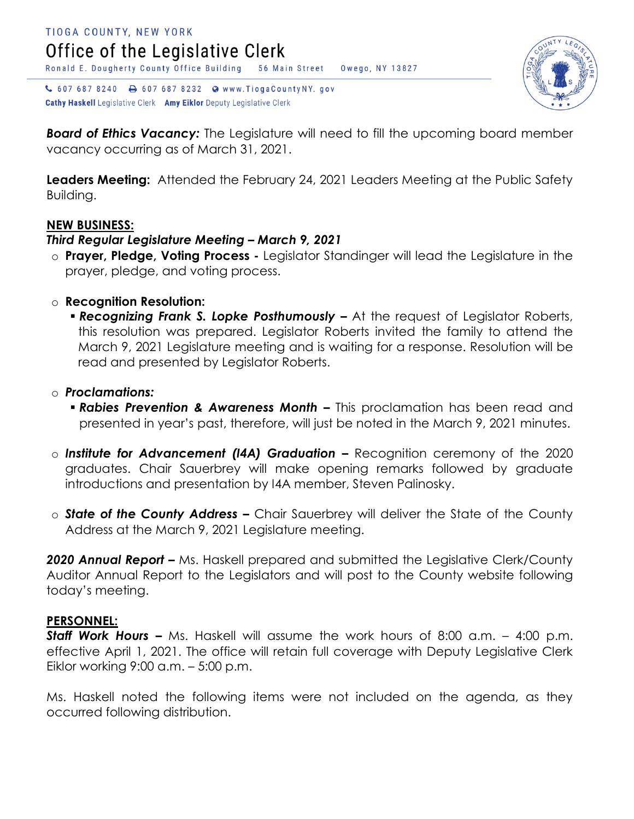

↓ 607 687 8240 → 607 687 8232 ● www.TiogaCountyNY.gov Cathy Haskell Legislative Clerk Amy Eiklor Deputy Legislative Clerk

*Board of Ethics Vacancy:* The Legislature will need to fill the upcoming board member vacancy occurring as of March 31, 2021.

**Leaders Meeting:** Attended the February 24, 2021 Leaders Meeting at the Public Safety Building.

#### **NEW BUSINESS:**

#### *Third Regular Legislature Meeting – March 9, 2021*

- o **Prayer, Pledge, Voting Process -** Legislator Standinger will lead the Legislature in the prayer, pledge, and voting process.
- o **Recognition Resolution:**
	- *Recognizing Frank S. Lopke Posthumously –* At the request of Legislator Roberts, this resolution was prepared. Legislator Roberts invited the family to attend the March 9, 2021 Legislature meeting and is waiting for a response. Resolution will be read and presented by Legislator Roberts.
- o *Proclamations:*
	- *Rabies Prevention & Awareness Month –* This proclamation has been read and presented in year's past, therefore, will just be noted in the March 9, 2021 minutes.
- o *Institute for Advancement (I4A) Graduation –* Recognition ceremony of the 2020 graduates. Chair Sauerbrey will make opening remarks followed by graduate introductions and presentation by I4A member, Steven Palinosky.
- o *State of the County Address –* Chair Sauerbrey will deliver the State of the County Address at the March 9, 2021 Legislature meeting.

**2020 Annual Report –** Ms. Haskell prepared and submitted the Legislative Clerk/County Auditor Annual Report to the Legislators and will post to the County website following today's meeting.

#### **PERSONNEL:**

*Staff Work Hours –* Ms. Haskell will assume the work hours of 8:00 a.m. – 4:00 p.m. effective April 1, 2021. The office will retain full coverage with Deputy Legislative Clerk Eiklor working 9:00 a.m. – 5:00 p.m.

Ms. Haskell noted the following items were not included on the agenda, as they occurred following distribution.